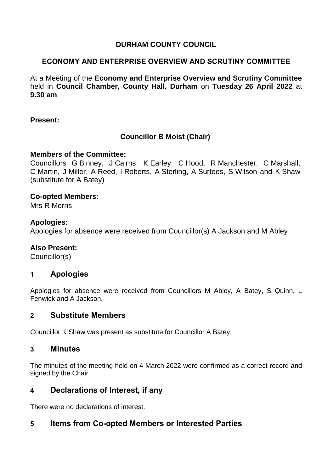## **DURHAM COUNTY COUNCIL**

## **ECONOMY AND ENTERPRISE OVERVIEW AND SCRUTINY COMMITTEE**

At a Meeting of the **Economy and Enterprise Overview and Scrutiny Committee** held in **Council Chamber, County Hall, Durham** on **Tuesday 26 April 2022** at **9.30 am**

#### **Present:**

## **Councillor B Moist (Chair)**

#### **Members of the Committee:**

Councillors G Binney, J Cairns, K Earley, C Hood, R Manchester, C Marshall, C Martin, J Miller, A Reed, I Roberts, A Sterling, A Surtees, S Wilson and K Shaw (substitute for A Batey)

#### **Co-opted Members:**

Mrs R Morris

#### **Apologies:**

Apologies for absence were received from Councillor(s) A Jackson and M Abley

#### **Also Present:**

Councillor(s)

## **1 Apologies**

Apologies for absence were received from Councillors M Abley, A Batey, S Quinn, L Fenwick and A Jackson.

## **2 Substitute Members**

Councillor K Shaw was present as substitute for Councillor A Batey.

## **3 Minutes**

The minutes of the meeting held on 4 March 2022 were confirmed as a correct record and signed by the Chair.

## **4 Declarations of Interest, if any**

There were no declarations of interest.

## **5 Items from Co-opted Members or Interested Parties**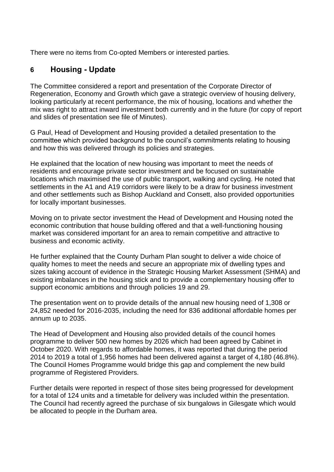There were no items from Co-opted Members or interested parties.

# **6 Housing - Update**

The Committee considered a report and presentation of the Corporate Director of Regeneration, Economy and Growth which gave a strategic overview of housing delivery, looking particularly at recent performance, the mix of housing, locations and whether the mix was right to attract inward investment both currently and in the future (for copy of report and slides of presentation see file of Minutes).

G Paul, Head of Development and Housing provided a detailed presentation to the committee which provided background to the council's commitments relating to housing and how this was delivered through its policies and strategies.

He explained that the location of new housing was important to meet the needs of residents and encourage private sector investment and be focused on sustainable locations which maximised the use of public transport, walking and cycling. He noted that settlements in the A1 and A19 corridors were likely to be a draw for business investment and other settlements such as Bishop Auckland and Consett, also provided opportunities for locally important businesses.

Moving on to private sector investment the Head of Development and Housing noted the economic contribution that house building offered and that a well-functioning housing market was considered important for an area to remain competitive and attractive to business and economic activity.

He further explained that the County Durham Plan sought to deliver a wide choice of quality homes to meet the needs and secure an appropriate mix of dwelling types and sizes taking account of evidence in the Strategic Housing Market Assessment (SHMA) and existing imbalances in the housing stick and to provide a complementary housing offer to support economic ambitions and through policies 19 and 29.

The presentation went on to provide details of the annual new housing need of 1,308 or 24,852 needed for 2016-2035, including the need for 836 additional affordable homes per annum up to 2035.

The Head of Development and Housing also provided details of the council homes programme to deliver 500 new homes by 2026 which had been agreed by Cabinet in October 2020. With regards to affordable homes, it was reported that during the period 2014 to 2019 a total of 1,956 homes had been delivered against a target of 4,180 (46.8%). The Council Homes Programme would bridge this gap and complement the new build programme of Registered Providers.

Further details were reported in respect of those sites being progressed for development for a total of 124 units and a timetable for delivery was included within the presentation. The Council had recently agreed the purchase of six bungalows in Gilesgate which would be allocated to people in the Durham area.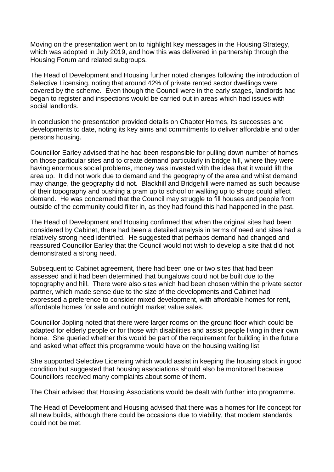Moving on the presentation went on to highlight key messages in the Housing Strategy, which was adopted in July 2019, and how this was delivered in partnership through the Housing Forum and related subgroups.

The Head of Development and Housing further noted changes following the introduction of Selective Licensing, noting that around 42% of private rented sector dwellings were covered by the scheme. Even though the Council were in the early stages, landlords had began to register and inspections would be carried out in areas which had issues with social landlords.

In conclusion the presentation provided details on Chapter Homes, its successes and developments to date, noting its key aims and commitments to deliver affordable and older persons housing.

Councillor Earley advised that he had been responsible for pulling down number of homes on those particular sites and to create demand particularly in bridge hill, where they were having enormous social problems, money was invested with the idea that it would lift the area up. It did not work due to demand and the geography of the area and whilst demand may change, the geography did not. Blackhill and Bridgehill were named as such because of their topography and pushing a pram up to school or walking up to shops could affect demand. He was concerned that the Council may struggle to fill houses and people from outside of the community could filter in, as they had found this had happened in the past.

The Head of Development and Housing confirmed that when the original sites had been considered by Cabinet, there had been a detailed analysis in terms of need and sites had a relatively strong need identified. He suggested that perhaps demand had changed and reassured Councillor Earley that the Council would not wish to develop a site that did not demonstrated a strong need.

Subsequent to Cabinet agreement, there had been one or two sites that had been assessed and it had been determined that bungalows could not be built due to the topography and hill. There were also sites which had been chosen within the private sector partner, which made sense due to the size of the developments and Cabinet had expressed a preference to consider mixed development, with affordable homes for rent, affordable homes for sale and outright market value sales.

Councillor Jopling noted that there were larger rooms on the ground floor which could be adapted for elderly people or for those with disabilities and assist people living in their own home. She queried whether this would be part of the requirement for building in the future and asked what effect this programme would have on the housing waiting list.

She supported Selective Licensing which would assist in keeping the housing stock in good condition but suggested that housing associations should also be monitored because Councillors received many complaints about some of them.

The Chair advised that Housing Associations would be dealt with further into programme.

The Head of Development and Housing advised that there was a homes for life concept for all new builds, although there could be occasions due to viability, that modern standards could not be met.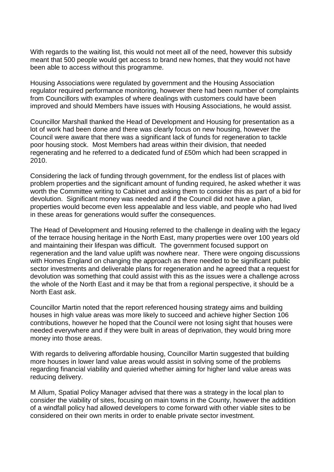With regards to the waiting list, this would not meet all of the need, however this subsidy meant that 500 people would get access to brand new homes, that they would not have been able to access without this programme.

Housing Associations were regulated by government and the Housing Association regulator required performance monitoring, however there had been number of complaints from Councillors with examples of where dealings with customers could have been improved and should Members have issues with Housing Associations, he would assist.

Councillor Marshall thanked the Head of Development and Housing for presentation as a lot of work had been done and there was clearly focus on new housing, however the Council were aware that there was a significant lack of funds for regeneration to tackle poor housing stock. Most Members had areas within their division, that needed regenerating and he referred to a dedicated fund of £50m which had been scrapped in 2010.

Considering the lack of funding through government, for the endless list of places with problem properties and the significant amount of funding required, he asked whether it was worth the Committee writing to Cabinet and asking them to consider this as part of a bid for devolution. Significant money was needed and if the Council did not have a plan, properties would become even less appealable and less viable, and people who had lived in these areas for generations would suffer the consequences.

The Head of Development and Housing referred to the challenge in dealing with the legacy of the terrace housing heritage in the North East, many properties were over 100 years old and maintaining their lifespan was difficult. The government focused support on regeneration and the land value uplift was nowhere near. There were ongoing discussions with Homes England on changing the approach as there needed to be significant public sector investments and deliverable plans for regeneration and he agreed that a request for devolution was something that could assist with this as the issues were a challenge across the whole of the North East and it may be that from a regional perspective, it should be a North East ask.

Councillor Martin noted that the report referenced housing strategy aims and building houses in high value areas was more likely to succeed and achieve higher Section 106 contributions, however he hoped that the Council were not losing sight that houses were needed everywhere and if they were built in areas of deprivation, they would bring more money into those areas.

With regards to delivering affordable housing, Councillor Martin suggested that building more houses in lower land value areas would assist in solving some of the problems regarding financial viability and quieried whether aiming for higher land value areas was reducing delivery.

M Allum, Spatial Policy Manager advised that there was a strategy in the local plan to consider the viability of sites, focusing on main towns in the County, however the addition of a windfall policy had allowed developers to come forward with other viable sites to be considered on their own merits in order to enable private sector investment.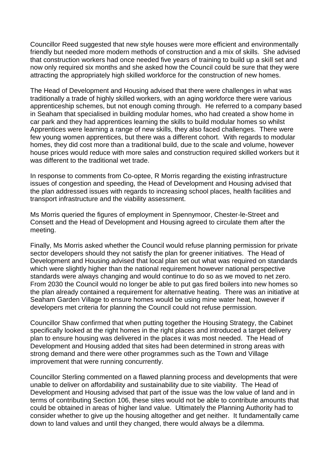Councillor Reed suggested that new style houses were more efficient and environmentally friendly but needed more modern methods of construction and a mix of skills. She advised that construction workers had once needed five years of training to build up a skill set and now only required six months and she asked how the Council could be sure that they were attracting the appropriately high skilled workforce for the construction of new homes.

The Head of Development and Housing advised that there were challenges in what was traditionally a trade of highly skilled workers, with an aging workforce there were various apprenticeship schemes, but not enough coming through. He referred to a company based in Seaham that specialised in building modular homes, who had created a show home in car park and they had apprentices learning the skills to build modular homes so whilst Apprentices were learning a range of new skills, they also faced challenges. There were few young women apprentices, but there was a different cohort. With regards to modular homes, they did cost more than a traditional build, due to the scale and volume, however house prices would reduce with more sales and construction required skilled workers but it was different to the traditional wet trade.

In response to comments from Co-optee, R Morris regarding the existing infrastructure issues of congestion and speeding, the Head of Development and Housing advised that the plan addressed issues with regards to increasing school places, health facilities and transport infrastructure and the viability assessment.

Ms Morris queried the figures of employment in Spennymoor, Chester-le-Street and Consett and the Head of Development and Housing agreed to circulate them after the meeting.

Finally, Ms Morris asked whether the Council would refuse planning permission for private sector developers should they not satisfy the plan for greener initiatives. The Head of Development and Housing advised that local plan set out what was required on standards which were slightly higher than the national requirement however national perspective standards were always changing and would continue to do so as we moved to net zero. From 2030 the Council would no longer be able to put gas fired boilers into new homes so the plan already contained a requirement for alternative heating. There was an initiative at Seaham Garden Village to ensure homes would be using mine water heat, however if developers met criteria for planning the Council could not refuse permission.

Councillor Shaw confirmed that when putting together the Housing Strategy, the Cabinet specifically looked at the right homes in the right places and introduced a target delivery plan to ensure housing was delivered in the places it was most needed. The Head of Development and Housing added that sites had been determined in strong areas with strong demand and there were other programmes such as the Town and Village improvement that were running concurrently.

Councillor Sterling commented on a flawed planning process and developments that were unable to deliver on affordability and sustainability due to site viability. The Head of Development and Housing advised that part of the issue was the low value of land and in terms of contributing Section 106, these sites would not be able to contribute amounts that could be obtained in areas of higher land value. Ultimately the Planning Authority had to consider whether to give up the housing altogether and get neither. It fundamentally came down to land values and until they changed, there would always be a dilemma.